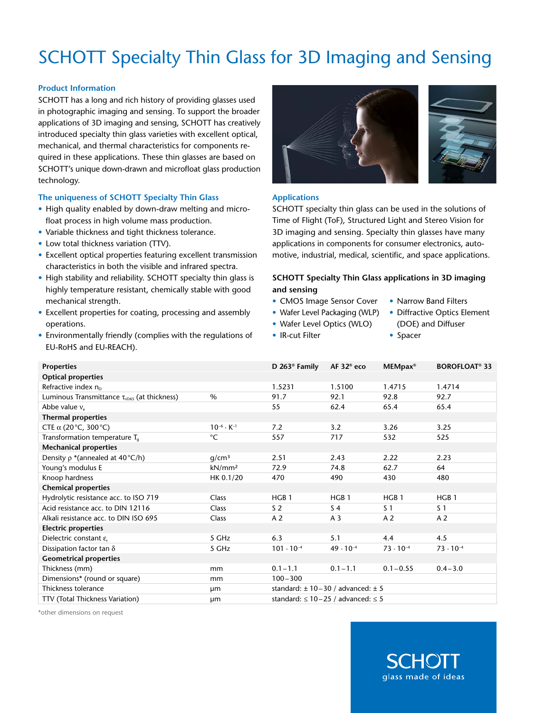# SCHOTT Specialty Thin Glass for 3D Imaging and Sensing

# **Product Information**

SCHOTT has a long and rich history of providing glasses used in photographic imaging and sensing. To support the broader applications of 3D imaging and sensing, SCHOTT has creatively introduced specialty thin glass varieties with excellent optical, mechanical, and thermal characteristics for components required in these applications. These thin glasses are based on SCHOTT's unique down-drawn and microfloat glass production technology.

### **The uniqueness of SCHOTT Specialty Thin Glass**

- High quality enabled by down-draw melting and microfloat process in high volume mass production.
- Variable thickness and tight thickness tolerance.
- Low total thickness variation (TTV).
- Excellent optical properties featuring excellent transmission characteristics in both the visible and infrared spectra.
- High stability and reliability. SCHOTT specialty thin glass is highly temperature resistant, chemically stable with good mechanical strength.
- Excellent properties for coating, processing and assembly operations.
- Environmentally friendly (complies with the regulations of EU-RoHS and EU-REACH).



# **Applications**

SCHOTT specialty thin glass can be used in the solutions of Time of Flight (ToF), Structured Light and Stereo Vision for 3D imaging and sensing. Specialty thin glasses have many applications in components for consumer electronics, automotive, industrial, medical, scientific, and space applications.

# **SCHOTT Specialty Thin Glass applications in 3D imaging and sensing**

- CMOS Image Sensor Cover
- Narrow Band Filters
- Wafer Level Packaging (WLP)
	- Diffractive Optics Element
- Wafer Level Optics (WLO) (DOE) and Diffuser • Spacer
- IR-cut Filter

| <b>Optical properties</b>                                 |                        |                     |                                             |                    |                    |  |
|-----------------------------------------------------------|------------------------|---------------------|---------------------------------------------|--------------------|--------------------|--|
| Refractive index $n_{p}$                                  |                        | 1.5231              | 1.5100                                      | 1.4715             | 1.4714             |  |
| Luminous Transmittance $\tau_{\text{vDS}}$ (at thickness) | %                      | 91.7                | 92.1                                        | 92.8               | 92.7               |  |
| Abbe value v.                                             |                        | 55                  | 62.4                                        | 65.4               | 65.4               |  |
| <b>Thermal properties</b>                                 |                        |                     |                                             |                    |                    |  |
| CTE $\alpha$ (20°C, 300°C)                                | $10^{-6} \cdot K^{-1}$ | 7.2                 | 3.2                                         | 3.26               | 3.25               |  |
| Transformation temperature T <sub>a</sub>                 | $^{\circ}$ C           | 557                 | 717                                         | 532                | 525                |  |
| <b>Mechanical properties</b>                              |                        |                     |                                             |                    |                    |  |
| Density $\rho^*$ (annealed at 40 $\degree$ C/h)           | q/cm <sup>3</sup>      | 2.51                | 2.43                                        | 2.22               | 2.23               |  |
| Young's modulus E                                         | kN/mm <sup>2</sup>     | 72.9                | 74.8                                        | 62.7               | 64                 |  |
| Knoop hardness                                            | HK 0.1/20              | 470                 | 490                                         | 430                | 480                |  |
| <b>Chemical properties</b>                                |                        |                     |                                             |                    |                    |  |
| Hydrolytic resistance acc. to ISO 719                     | <b>Class</b>           | HGB <sub>1</sub>    | HGB <sub>1</sub>                            | HGB <sub>1</sub>   | HGB <sub>1</sub>   |  |
| Acid resistance acc. to DIN 12116                         | <b>Class</b>           | S <sub>2</sub>      | S <sub>4</sub>                              | S <sub>1</sub>     | S <sub>1</sub>     |  |
| Alkali resistance acc. to DIN ISO 695                     | Class                  | A <sub>2</sub>      | A 3                                         | A <sub>2</sub>     | A <sub>2</sub>     |  |
| <b>Electric properties</b>                                |                        |                     |                                             |                    |                    |  |
| Dielectric constant ε <sub>Γ</sub>                        | 5 GHz                  | 6.3                 | 5.1                                         | 4.4                | 4.5                |  |
| Dissipation factor tan $\delta$                           | 5 GHz                  | $101 \cdot 10^{-4}$ | $49 \cdot 10^{-4}$                          | $73 \cdot 10^{-4}$ | $73 \cdot 10^{-4}$ |  |
| <b>Geometrical properties</b>                             |                        |                     |                                             |                    |                    |  |
| Thickness (mm)                                            | mm                     | $0.1 - 1.1$         | $0.1 - 1.1$                                 | $0.1 - 0.55$       | $0.4 - 3.0$        |  |
| Dimensions* (round or square)                             | mm                     | $100 - 300$         |                                             |                    |                    |  |
| Thickness tolerance                                       | μm                     |                     | standard: $\pm$ 10-30 / advanced: $\pm$ 5   |                    |                    |  |
| TTV (Total Thickness Variation)                           | μm                     |                     | standard: $\leq 10-25$ / advanced: $\leq 5$ |                    |                    |  |

**Properties D 263® Family AF 32® eco MEMpax® BOROFLOAT® 33**

\*other dimensions on request